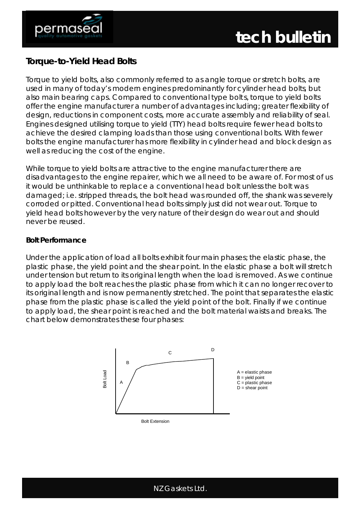

# **Torque-to-Yield Head Bolts**

Torque to yield bolts, also commonly referred to as angle torque or stretch bolts, are used in many of today's modern engines predominantly for cylinder head bolts, but also main bearing caps. Compared to conventional type bolts, torque to yield bolts offer the engine manufacturer a number of advantages including; greater flexibility of design, reductions in component costs, more accurate assembly and reliability of seal. Engines designed utilising torque to yield (TTY) head bolts require fewer head bolts to achieve the desired clamping loads than those using conventional bolts. With fewer bolts the engine manufacturer has more flexibility in cylinder head and block design as well as reducing the cost of the engine.

While torque to yield bolts are attractive to the engine manufacturer there are disadvantages to the engine repairer, which we all need to be aware of. For most of us it would be unthinkable to replace a conventional head bolt unless the bolt was damaged; i.e. stripped threads, the bolt head was rounded off, the shank was severely corroded or pitted. Conventional head bolts simply just did not wear out. Torque to yield head bolts however by the very nature of their design do wear out and should never be reused.

### **Bolt Performance**

Under the application of load all bolts exhibit four main phases; the elastic phase, the plastic phase, the yield point and the shear point. In the elastic phase a bolt will stretch under tension but return to its original length when the load is removed. As we continue to apply load the bolt reaches the plastic phase from which it can no longer recover to its original length and is now permanently stretched. The point that separates the elastic phase from the plastic phase is called the yield point of the bolt. Finally if we continue to apply load, the shear point is reached and the bolt material waists and breaks. The chart below demonstrates these four phases:



Bolt Extension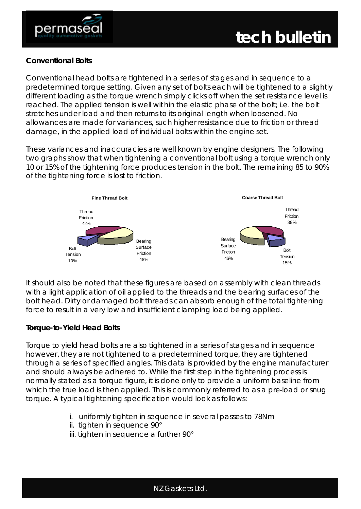



#### **Conventional Bolts**

Conventional head bolts are tightened in a series of stages and in sequence to a predetermined torque setting. Given any set of bolts each will be tightened to a slightly different loading as the torque wrench simply clicks off when the set resistance level is reached. The applied tension is well within the elastic phase of the bolt; i.e. the bolt stretches under load and then returns to its original length when loosened. No allowances are made for variances, such higher resistance due to friction or thread damage, in the applied load of individual bolts within the engine set.

These variances and inaccuracies are well known by engine designers. The following two graphs show that when tightening a conventional bolt using a torque wrench only 10 or 15% of the tightening force produces tension in the bolt. The remaining 85 to 90% of the tightening force is lost to friction.



It should also be noted that these figures are based on assembly with clean threads with a light application of oil applied to the threads and the bearing surfaces of the bolt head. Dirty or damaged bolt threads can absorb enough of the total tightening force to result in a very low and insufficient clamping load being applied.

#### **Torque-to-Yield Head Bolts**

Torque to yield head bolts are also tightened in a series of stages and in sequence however, they are not tightened to a predetermined torque, they are tightened through a series of specified angles. This data is provided by the engine manufacturer and should always be adhered to. While the first step in the tightening process is normally stated as a torque figure, it is done only to provide a uniform baseline from which the true load is then applied. This is commonly referred to as a pre-load or snug torque. A typical tightening specification would look as follows:

- i. uniformly tighten in sequence in several passes to 78Nm
- ii. tighten in sequence 90°
- iii. tighten in sequence a further 90°

NZ Gaskets Ltd.